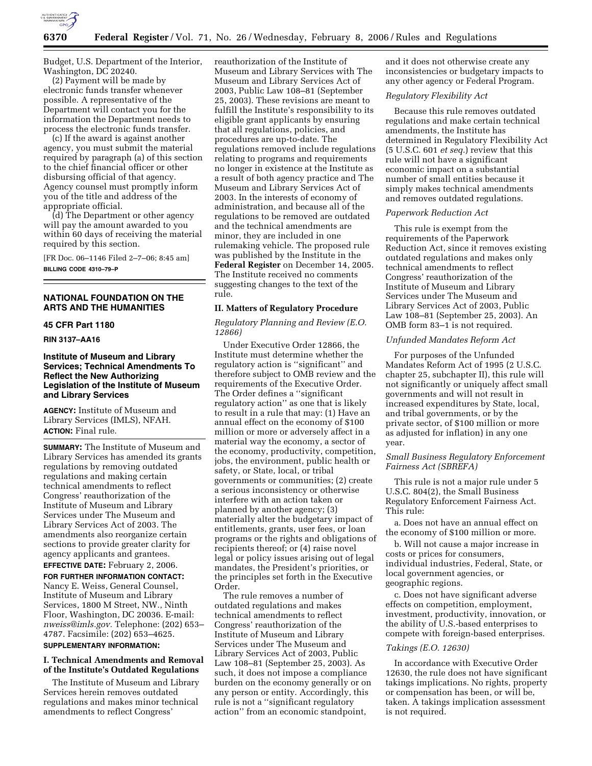

Budget, U.S. Department of the Interior, Washington, DC 20240.

(2) Payment will be made by electronic funds transfer whenever possible. A representative of the Department will contact you for the information the Department needs to process the electronic funds transfer.

(c) If the award is against another agency, you must submit the material required by paragraph (a) of this section to the chief financial officer or other disbursing official of that agency. Agency counsel must promptly inform you of the title and address of the appropriate official.

(d) The Department or other agency will pay the amount awarded to you within 60 days of receiving the material required by this section.

[FR Doc. 06–1146 Filed 2–7–06; 8:45 am] **BILLING CODE 4310–79–P** 

# **NATIONAL FOUNDATION ON THE ARTS AND THE HUMANITIES**

# **45 CFR Part 1180**

# **RIN 3137–AA16**

# **Institute of Museum and Library Services; Technical Amendments To Reflect the New Authorizing Legislation of the Institute of Museum and Library Services**

**AGENCY:** Institute of Museum and Library Services (IMLS), NFAH. **ACTION:** Final rule.

**SUMMARY:** The Institute of Museum and Library Services has amended its grants regulations by removing outdated regulations and making certain technical amendments to reflect Congress' reauthorization of the Institute of Museum and Library Services under The Museum and Library Services Act of 2003. The amendments also reorganize certain sections to provide greater clarity for agency applicants and grantees.

**EFFECTIVE DATE:** February 2, 2006. **FOR FURTHER INFORMATION CONTACT:**  Nancy E. Weiss, General Counsel, Institute of Museum and Library Services, 1800 M Street, NW., Ninth Floor, Washington, DC 20036. E-mail: *nweiss@imls.gov.* Telephone: (202) 653– 4787. Facsimile: (202) 653–4625.

# **SUPPLEMENTARY INFORMATION:**

# **I. Technical Amendments and Removal of the Institute's Outdated Regulations**

The Institute of Museum and Library Services herein removes outdated regulations and makes minor technical amendments to reflect Congress'

reauthorization of the Institute of Museum and Library Services with The Museum and Library Services Act of 2003, Public Law 108–81 (September 25, 2003). These revisions are meant to fulfill the Institute's responsibility to its eligible grant applicants by ensuring that all regulations, policies, and procedures are up-to-date. The regulations removed include regulations relating to programs and requirements no longer in existence at the Institute as a result of both agency practice and The Museum and Library Services Act of 2003. In the interests of economy of administration, and because all of the regulations to be removed are outdated and the technical amendments are minor, they are included in one rulemaking vehicle. The proposed rule was published by the Institute in the **Federal Register** on December 14, 2005. The Institute received no comments suggesting changes to the text of the rule.

#### **II. Matters of Regulatory Procedure**

### *Regulatory Planning and Review (E.O. 12866)*

Under Executive Order 12866, the Institute must determine whether the regulatory action is ''significant'' and therefore subject to OMB review and the requirements of the Executive Order. The Order defines a ''significant regulatory action'' as one that is likely to result in a rule that may: (1) Have an annual effect on the economy of \$100 million or more or adversely affect in a material way the economy, a sector of the economy, productivity, competition, jobs, the environment, public health or safety, or State, local, or tribal governments or communities; (2) create a serious inconsistency or otherwise interfere with an action taken or planned by another agency; (3) materially alter the budgetary impact of entitlements, grants, user fees, or loan programs or the rights and obligations of recipients thereof; or (4) raise novel legal or policy issues arising out of legal mandates, the President's priorities, or the principles set forth in the Executive Order.

The rule removes a number of outdated regulations and makes technical amendments to reflect Congress' reauthorization of the Institute of Museum and Library Services under The Museum and Library Services Act of 2003, Public Law 108–81 (September 25, 2003). As such, it does not impose a compliance burden on the economy generally or on any person or entity. Accordingly, this rule is not a ''significant regulatory action'' from an economic standpoint,

and it does not otherwise create any inconsistencies or budgetary impacts to any other agency or Federal Program.

### *Regulatory Flexibility Act*

Because this rule removes outdated regulations and make certain technical amendments, the Institute has determined in Regulatory Flexibility Act (5 U.S.C. 601 *et seq.*) review that this rule will not have a significant economic impact on a substantial number of small entities because it simply makes technical amendments and removes outdated regulations.

#### *Paperwork Reduction Act*

This rule is exempt from the requirements of the Paperwork Reduction Act, since it removes existing outdated regulations and makes only technical amendments to reflect Congress' reauthorization of the Institute of Museum and Library Services under The Museum and Library Services Act of 2003, Public Law 108–81 (September 25, 2003). An OMB form 83–1 is not required.

# *Unfunded Mandates Reform Act*

For purposes of the Unfunded Mandates Reform Act of 1995 (2 U.S.C. chapter 25, subchapter II), this rule will not significantly or uniquely affect small governments and will not result in increased expenditures by State, local, and tribal governments, or by the private sector, of \$100 million or more as adjusted for inflation) in any one year.

# *Small Business Regulatory Enforcement Fairness Act (SBREFA)*

This rule is not a major rule under 5 U.S.C. 804(2), the Small Business Regulatory Enforcement Fairness Act. This rule:

a. Does not have an annual effect on the economy of \$100 million or more.

b. Will not cause a major increase in costs or prices for consumers, individual industries, Federal, State, or local government agencies, or geographic regions.

c. Does not have significant adverse effects on competition, employment, investment, productivity, innovation, or the ability of U.S.-based enterprises to compete with foreign-based enterprises.

### *Takings (E.O. 12630)*

In accordance with Executive Order 12630, the rule does not have significant takings implications. No rights, property or compensation has been, or will be, taken. A takings implication assessment is not required.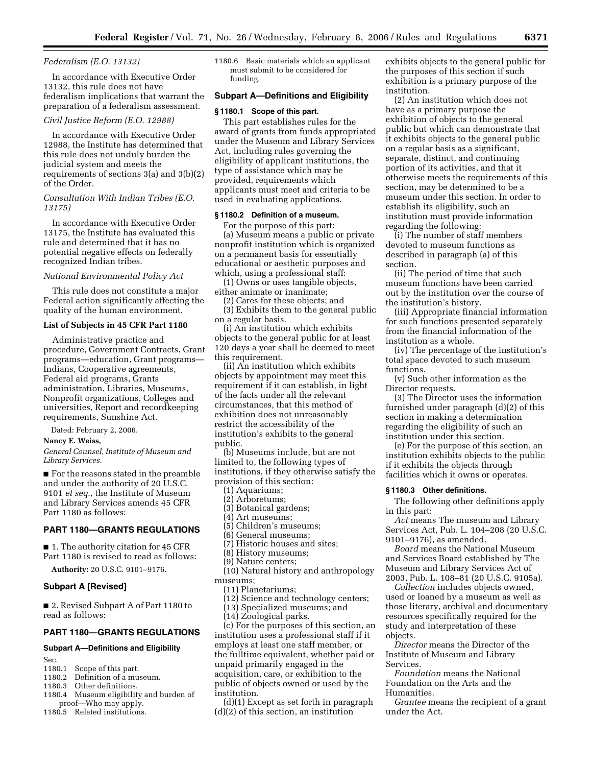#### *Federalism (E.O. 13132)*

In accordance with Executive Order 13132, this rule does not have federalism implications that warrant the preparation of a federalism assessment.

### *Civil Justice Reform (E.O. 12988)*

In accordance with Executive Order 12988, the Institute has determined that this rule does not unduly burden the judicial system and meets the requirements of sections 3(a) and 3(b)(2) of the Order.

# *Consultation With Indian Tribes (E.O. 13175)*

In accordance with Executive Order 13175, the Institute has evaluated this rule and determined that it has no potential negative effects on federally recognized Indian tribes.

#### *National Environmental Policy Act*

This rule does not constitute a major Federal action significantly affecting the quality of the human environment.

#### **List of Subjects in 45 CFR Part 1180**

Administrative practice and procedure, Government Contracts, Grant programs—education, Grant programs— Indians, Cooperative agreements, Federal aid programs, Grants administration, Libraries, Museums, Nonprofit organizations, Colleges and universities, Report and recordkeeping requirements, Sunshine Act.

Dated: February 2, 2006.

# **Nancy E. Weiss,**

*General Counsel, Institute of Museum and Library Services.* 

■ For the reasons stated in the preamble and under the authority of 20 U.S.C. 9101 *et seq.,* the Institute of Museum and Library Services amends 45 CFR Part 1180 as follows:

# **PART 1180—GRANTS REGULATIONS**

■ 1. The authority citation for 45 CFR Part 1180 is revised to read as follows:

**Authority:** 20 U.S.C. 9101–9176.

# **Subpart A [Revised]**

■ 2. Revised Subpart A of Part 1180 to read as follows:

# **PART 1180—GRANTS REGULATIONS**

# **Subpart A—Definitions and Eligibility**

Sec.

1180.1 Scope of this part.

- 1180.2 Definition of a museum.
- 1180.3 Other definitions.
- 1180.4 Museum eligibility and burden of proof—Who may apply.
- 1180.5 Related institutions.

1180.6 Basic materials which an applicant must submit to be considered for funding.

#### **Subpart A—Definitions and Eligibility**

#### **§ 1180.1 Scope of this part.**

This part establishes rules for the award of grants from funds appropriated under the Museum and Library Services Act, including rules governing the eligibility of applicant institutions, the type of assistance which may be provided, requirements which applicants must meet and criteria to be used in evaluating applications.

### **§ 1180.2 Definition of a museum.**

For the purpose of this part: (a) Museum means a public or private nonprofit institution which is organized on a permanent basis for essentially educational or aesthetic purposes and which, using a professional staff:

(1) Owns or uses tangible objects, either animate or inanimate;

(2) Cares for these objects; and (3) Exhibits them to the general public on a regular basis.

(i) An institution which exhibits objects to the general public for at least 120 days a year shall be deemed to meet this requirement.

(ii) An institution which exhibits objects by appointment may meet this requirement if it can establish, in light of the facts under all the relevant circumstances, that this method of exhibition does not unreasonably restrict the accessibility of the institution's exhibits to the general public.

(b) Museums include, but are not limited to, the following types of institutions, if they otherwise satisfy the provision of this section:

- (1) Aquariums;
- (2) Arboretums;
- (3) Botanical gardens;
- (4) Art museums;
- (5) Children's museums;
- (6) General museums;
- (7) Historic houses and sites;
- (8) History museums; (9) Nature centers;
- 
- (10) Natural history and anthropology museums;
	- (11) Planetariums;
	- (12) Science and technology centers;
	- (13) Specialized museums; and
	- (14) Zoological parks.

(c) For the purposes of this section, an institution uses a professional staff if it employs at least one staff member, or the fulltime equivalent, whether paid or unpaid primarily engaged in the acquisition, care, or exhibition to the public of objects owned or used by the institution.

(d)(1) Except as set forth in paragraph (d)(2) of this section, an institution

exhibits objects to the general public for the purposes of this section if such exhibition is a primary purpose of the institution.

(2) An institution which does not have as a primary purpose the exhibition of objects to the general public but which can demonstrate that it exhibits objects to the general public on a regular basis as a significant, separate, distinct, and continuing portion of its activities, and that it otherwise meets the requirements of this section, may be determined to be a museum under this section. In order to establish its eligibility, such an institution must provide information regarding the following:

(i) The number of staff members devoted to museum functions as described in paragraph (a) of this section.

(ii) The period of time that such museum functions have been carried out by the institution over the course of the institution's history.

(iii) Appropriate financial information for such functions presented separately from the financial information of the institution as a whole.

(iv) The percentage of the institution's total space devoted to such museum functions.

(v) Such other information as the Director requests.

(3) The Director uses the information furnished under paragraph (d)(2) of this section in making a determination regarding the eligibility of such an institution under this section.

(e) For the purpose of this section, an institution exhibits objects to the public if it exhibits the objects through facilities which it owns or operates.

#### **§ 1180.3 Other definitions.**

The following other definitions apply in this part:

*Act* means The museum and Library Services Act, Pub. L. 104–208 (20 U.S.C. 9101–9176), as amended.

*Board* means the National Museum and Services Board established by The Museum and Library Services Act of 2003, Pub. L. 108–81 (20 U.S.C. 9105a).

*Collection* includes objects owned, used or loaned by a museum as well as those literary, archival and documentary resources specifically required for the study and interpretation of these objects.

*Director* means the Director of the Institute of Museum and Library Services.

*Foundation* means the National Foundation on the Arts and the Humanities.

*Grantee* means the recipient of a grant under the Act.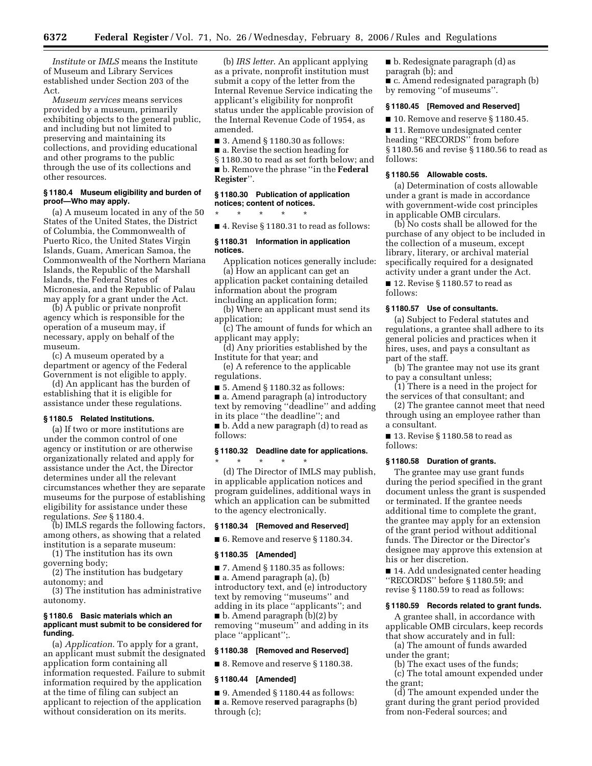*Institute* or *IMLS* means the Institute of Museum and Library Services established under Section 203 of the Act.

*Museum services* means services provided by a museum, primarily exhibiting objects to the general public, and including but not limited to preserving and maintaining its collections, and providing educational and other programs to the public through the use of its collections and other resources.

#### **§ 1180.4 Museum eligibility and burden of proof—Who may apply.**

(a) A museum located in any of the 50 States of the United States, the District of Columbia, the Commonwealth of Puerto Rico, the United States Virgin Islands, Guam, American Samoa, the Commonwealth of the Northern Mariana Islands, the Republic of the Marshall Islands, the Federal States of Micronesia, and the Republic of Palau may apply for a grant under the Act.

(b) A public or private nonprofit agency which is responsible for the operation of a museum may, if necessary, apply on behalf of the museum.

(c) A museum operated by a department or agency of the Federal Government is not eligible to apply.

(d) An applicant has the burden of establishing that it is eligible for assistance under these regulations.

### **§ 1180.5 Related Institutions.**

(a) If two or more institutions are under the common control of one agency or institution or are otherwise organizationally related and apply for assistance under the Act, the Director determines under all the relevant circumstances whether they are separate museums for the purpose of establishing eligibility for assistance under these regulations. *See* § 1180.4.

(b) IMLS regards the following factors, among others, as showing that a related institution is a separate museum:

(1) The institution has its own governing body;

(2) The institution has budgetary autonomy; and

(3) The institution has administrative autonomy.

#### **§ 1180.6 Basic materials which an applicant must submit to be considered for funding.**

(a) *Application*. To apply for a grant, an applicant must submit the designated application form containing all information requested. Failure to submit information required by the application at the time of filing can subject an applicant to rejection of the application without consideration on its merits.

(b) *IRS letter*. An applicant applying as a private, nonprofit institution must submit a copy of the letter from the Internal Revenue Service indicating the applicant's eligibility for nonprofit status under the applicable provision of the Internal Revenue Code of 1954, as amended.

■ 3. Amend § 1180.30 as follows:

■ a. Revise the section heading for

§ 1180.30 to read as set forth below; and ■ **b**. Remove the phrase "in the **Federal Register**''.

### **§ 1180.30 Publication of application notices; content of notices.**

\* \* \* \* \*

■ 4. Revise § 1180.31 to read as follows:

#### **§ 1180.31 Information in application notices.**

Application notices generally include: (a) How an applicant can get an

application packet containing detailed information about the program including an application form;

(b) Where an applicant must send its application;

(c) The amount of funds for which an applicant may apply;

(d) Any priorities established by the Institute for that year; and

(e) A reference to the applicable regulations.

■ 5. Amend § 1180.32 as follows:

■ a. Amend paragraph (a) introductory text by removing ''deadline'' and adding

in its place ''the deadline''; and

■ b. Add a new paragraph (d) to read as follows:

# **§ 1180.32 Deadline date for applications.**

\* \* \* \* \* (d) The Director of IMLS may publish, in applicable application notices and program guidelines, additional ways in which an application can be submitted to the agency electronically.

### **§ 1180.34 [Removed and Reserved]**

■ 6. Remove and reserve § 1180.34.

#### **§ 1180.35 [Amended]**

■ 7. Amend § 1180.35 as follows:

■ a. Amend paragraph (a), (b) introductory text, and (e) introductory text by removing ''museums'' and adding in its place ''applicants''; and ■ b. Amend paragraph (b)(2) by removing ''museum'' and adding in its place ''applicant'';.

# **§ 1180.38 [Removed and Reserved]**

■ 8. Remove and reserve § 1180.38.

### **§ 1180.44 [Amended]**

 $\blacksquare$  9. Amended § 1180.44 as follows: ■ a. Remove reserved paragraphs (b) through (c);

■ b. Redesignate paragraph (d) as paragrah (b); and ■ c. Amend redesignated paragraph (b) by removing ''of museums''.

#### **§ 1180.45 [Removed and Reserved]**

■ 10. Remove and reserve § 1180.45.

■ 11. Remove undesignated center heading ''RECORDS'' from before § 1180.56 and revise § 1180.56 to read as follows:

#### **§ 1180.56 Allowable costs.**

(a) Determination of costs allowable under a grant is made in accordance with government-wide cost principles in applicable OMB circulars.

(b) No costs shall be allowed for the purchase of any object to be included in the collection of a museum, except library, literary, or archival material specifically required for a designated activity under a grant under the Act.

■ 12. Revise § 1180.57 to read as follows:

#### **§ 1180.57 Use of consultants.**

(a) Subject to Federal statutes and regulations, a grantee shall adhere to its general policies and practices when it hires, uses, and pays a consultant as part of the staff.

(b) The grantee may not use its grant to pay a consultant unless;

(1) There is a need in the project for the services of that consultant; and

(2) The grantee cannot meet that need through using an employee rather than a consultant.

■ 13. Revise § 1180.58 to read as follows:

#### **§ 1180.58 Duration of grants.**

The grantee may use grant funds during the period specified in the grant document unless the grant is suspended or terminated. If the grantee needs additional time to complete the grant, the grantee may apply for an extension of the grant period without additional funds. The Director or the Director's designee may approve this extension at his or her discretion.

■ 14. Add undesignated center heading ''RECORDS'' before § 1180.59; and revise § 1180.59 to read as follows:

#### **§ 1180.59 Records related to grant funds.**

A grantee shall, in accordance with applicable OMB circulars, keep records that show accurately and in full:

(a) The amount of funds awarded under the grant;

(b) The exact uses of the funds;

(c) The total amount expended under the grant;

(d) The amount expended under the grant during the grant period provided from non-Federal sources; and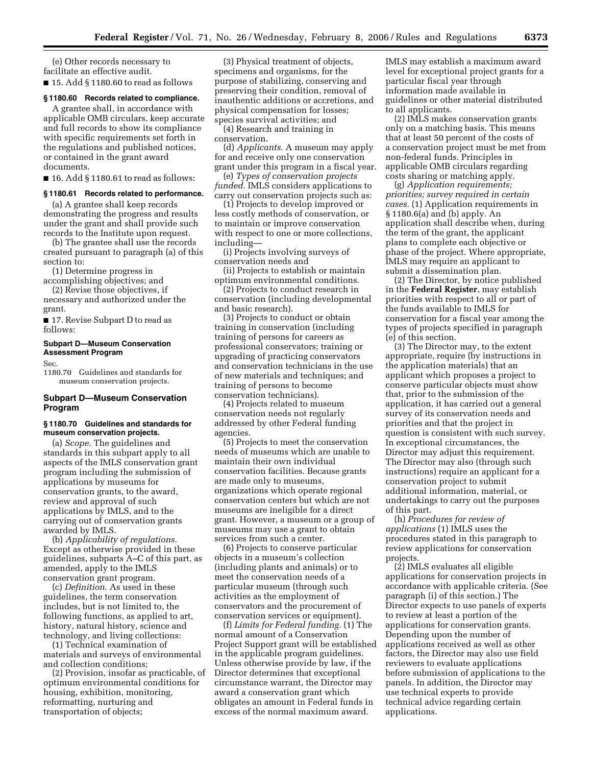(e) Other records necessary to facilitate an effective audit.

■ 15. Add § 1180.60 to read as follows

#### **§ 1180.60 Records related to compliance.**

A grantee shall, in accordance with applicable OMB circulars, keep accurate and full records to show its compliance with specific requirements set forth in the regulations and published notices, or contained in the grant award documents.

 $\blacksquare$  16. Add § 1180.61 to read as follows:

#### **§ 1180.61 Records related to performance.**

(a) A grantee shall keep records demonstrating the progress and results under the grant and shall provide such records to the Institute upon request.

(b) The grantee shall use the records created pursuant to paragraph (a) of this section to:

(1) Determine progress in accomplishing objectives; and

(2) Revise those objectives, if

necessary and authorized under the grant.

■ 17. Revise Subpart D to read as follows:

# **Subpart D—Museum Conservation Assessment Program**

Sec.

1180.70 Guidelines and standards for museum conservation projects.

# **Subpart D—Museum Conservation Program**

### **§ 1180.70 Guidelines and standards for museum conservation projects.**

(a) *Scope*. The guidelines and standards in this subpart apply to all aspects of the IMLS conservation grant program including the submission of applications by museums for conservation grants, to the award, review and approval of such applications by IMLS, and to the carrying out of conservation grants awarded by IMLS.

(b) *Applicability of regulations.*  Except as otherwise provided in these guidelines, subparts A–C of this part, as amended, apply to the IMLS conservation grant program.

(c) *Definition*. As used in these guidelines, the term conservation includes, but is not limited to, the following functions, as applied to art, history, natural history, science and technology, and living collections:

(1) Technical examination of materials and surveys of environmental and collection conditions;

(2) Provision, insofar as practicable, of optimum environmental conditions for housing, exhibition, monitoring, reformatting, nurturing and transportation of objects;

(3) Physical treatment of objects, specimens and organisms, for the purpose of stabilizing, conserving and preserving their condition, removal of inauthentic additions or accretions, and physical compensation for losses; species survival activities; and

(4) Research and training in conservation.

(d) *Applicants.* A museum may apply for and receive only one conservation grant under this program in a fiscal year.

(e) *Types of conservation projects funded.* IMLS considers applications to carry out conservation projects such as:

(1) Projects to develop improved or less costly methods of conservation, or to maintain or improve conservation with respect to one or more collections, including—

(i) Projects involving surveys of conservation needs and

(ii) Projects to establish or maintain optimum environmental conditions.

(2) Projects to conduct research in conservation (including developmental and basic research).

(3) Projects to conduct or obtain training in conservation (including training of persons for careers as professional conservators; training or upgrading of practicing conservators and conservation technicians in the use of new materials and techniques; and training of persons to become conservation technicians).

(4) Projects related to museum conservation needs not regularly addressed by other Federal funding agencies.

(5) Projects to meet the conservation needs of museums which are unable to maintain their own individual conservation facilities. Because grants are made only to museums, organizations which operate regional conservation centers but which are not museums are ineligible for a direct grant. However, a museum or a group of museums may use a grant to obtain services from such a center.

(6) Projects to conserve particular objects in a museum's collection (including plants and animals) or to meet the conservation needs of a particular museum (through such activities as the employment of conservators and the procurement of conservation services or equipment).

(f) *Limits for Federal funding.* (1) The normal amount of a Conservation Project Support grant will be established in the applicable program guidelines. Unless otherwise provide by law, if the Director determines that exceptional circumstance warrant, the Director may award a conservation grant which obligates an amount in Federal funds in excess of the normal maximum award.

IMLS may establish a maximum award level for exceptional project grants for a particular fiscal year through information made available in guidelines or other material distributed to all applicants.

(2) IMLS makes conservation grants only on a matching basis. This means that at least 50 percent of the costs of a conservation project must be met from non-federal funds. Principles in applicable OMB circulars regarding costs sharing or matching apply.

(g) *Application requirements; priorities; survey required in certain cases.* (1) Application requirements in § 1180.6(a) and (b) apply. An application shall describe when, during the term of the grant, the applicant plans to complete each objective or phase of the project. Where appropriate, IMLS may require an applicant to submit a dissemination plan.

(2) The Director, by notice published in the **Federal Register**, may establish priorities with respect to all or part of the funds available to IMLS for conservation for a fiscal year among the types of projects specified in paragraph (e) of this section.

(3) The Director may, to the extent appropriate, require (by instructions in the application materials) that an applicant which proposes a project to conserve particular objects must show that, prior to the submission of the application, it has carried out a general survey of its conservation needs and priorities and that the project in question is consistent with such survey. In exceptional circumstances, the Director may adjust this requirement. The Director may also (through such instructions) require an applicant for a conservation project to submit additional information, material, or undertakings to carry out the purposes of this part.

(h) *Procedures for review of applications* (1) IMLS uses the procedures stated in this paragraph to review applications for conservation projects.

(2) IMLS evaluates all eligible applications for conservation projects in accordance with applicable criteria. (See paragraph (i) of this section.) The Director expects to use panels of experts to review at least a portion of the applications for conservation grants. Depending upon the number of applications received as well as other factors, the Director may also use field reviewers to evaluate applications before submission of applications to the panels. In addition, the Director may use technical experts to provide technical advice regarding certain applications.